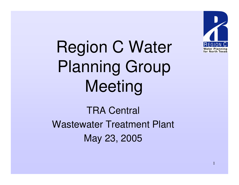

Region C Water Planning Group Meeting

TRA Central Wastewater Treatment Plant May 23, 2005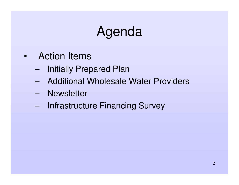# Agenda

- Action Items
	- –**Initially Prepared Plan**
	- Additional Wholesale Water Providers
	- Newsletter
	- –- Infrastructure Financing Survey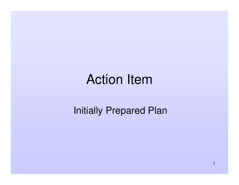# Action Item

#### Initially Prepared Plan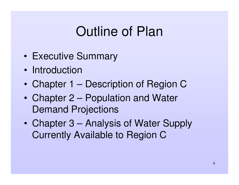- •• Executive Summary
- Introduction
- •Chapter 1 – Description of Region C
- • Chapter 2 – Population and Water Demand Projections
- $\bullet$  Chapter 3 – Analysis of Water Supply Currently Available to Region C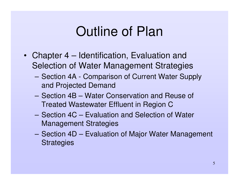- Chapter 4 Identification, Evaluation and Selection of Water Management Strategies
	- Section 4A Comparison of Current Water Supply and Projected Demand
	- Section 4B Water Conservation and Reuse of Treated Wastewater Effluent in Region C
	- Section 4C Evaluation and Selection of Water Management Strategies
	- Section 4D Evaluation of Major Water Management **Strategies**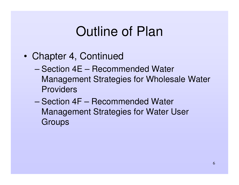- • Chapter 4, Continued
	- Section 4E Recommended Water Management Strategies for Wholesale Water Providers
	- Section 4F Recommended Water Management Strategies for Water User **Groups**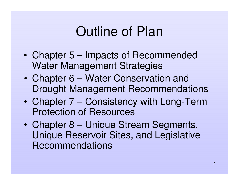- • Chapter 5 – Impacts of Recommended Water Management Strategies
- $\bullet$  Chapter 6 – Water Conservation and Drought Management Recommendations
- • Chapter 7 – Consistency with Long-Term Protection of Resources
- • Chapter 8 – Unique Stream Segments, Unique Reservoir Sites, and Legislative Recommendations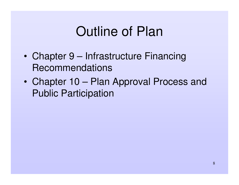- •• Chapter 9 – Infrastructure Financing **Recommendations**
- $\bullet$  Chapter 10 – Plan Approval Process and Public Participation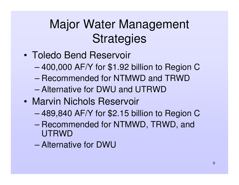- Toledo Bend Reservoir
	- –400,000 AF/Y for \$1.92 billion to Region C
	- Recommended for NTMWD and TRWD
	- Alternative for DWU and UTRWD
- Marvin Nichols Reservoir
	- –489,840 AF/Y for \$2.15 billion to Region C
	- – Recommended for NTMWD, TRWD, and UTRWD
	- Alternative for DWU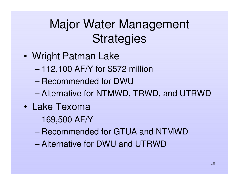- • Wright Patman Lake
	- –112,100 AF/Y for \$572 million
	- Recommended for DWU
	- –Alternative for NTMWD, TRWD, and UTRWD
- Lake Texoma
	- –169,500 AF/Y
	- Recommended for GTUA and NTMWD
	- Alternative for DWU and UTRWD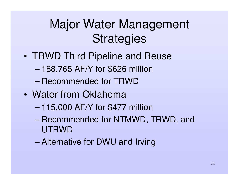- TRWD Third Pipeline and Reuse
	- –188,765 AF/Y for \$626 million
	- Recommended for TRWD
- Water from Oklahoma
	- –115,000 AF/Y for \$477 million
	- – Recommended for NTMWD, TRWD, and UTRWD
	- Alternative for DWU and Irving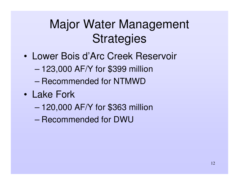- Lower Bois d'Arc Creek Reservoir
	- –123,000 AF/Y for \$399 million
	- Recommended for NTMWD
- Lake Fork
	- –120,000 AF/Y for \$363 million
	- Recommended for DWU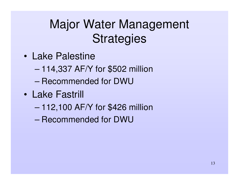- Lake Palestine
	- –114,337 AF/Y for \$502 million
	- Recommended for DWU
- Lake Fastrill
	- –112,100 AF/Y for \$426 million
	- Recommended for DWU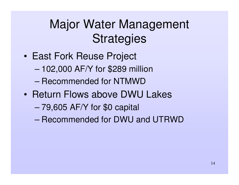- • East Fork Reuse Project
	- –102,000 AF/Y for \$289 million
	- Recommended for NTMWD
- Return Flows above DWU Lakes
	- –79,605 AF/Y for \$0 capital
	- Recommended for DWU and UTRWD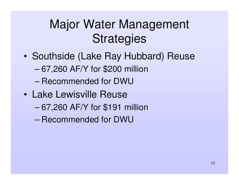- •• Southside (Lake Ray Hubbard) Reuse
	- –67,260 AF/Y for \$200 million
	- Recommended for DWU
- Lake Lewisville Reuse
	- –67,260 AF/Y for \$191 million
	- Recommended for DWU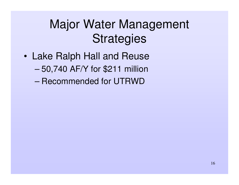- • Lake Ralph Hall and Reuse – 50,740 AF/Y for \$211 million
	- Recommended for UTRWD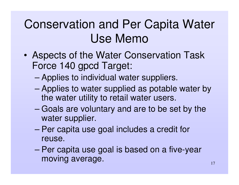# Conservation and Per Capita Water Use Memo

- • Aspects of the Water Conservation Task Force 140 gpcd Target:
	- –Applies to individual water suppliers.
	- – Applies to water supplied as potable water by the water utility to retail water users.
	- – Goals are voluntary and are to be set by the water supplier.
	- – Per capita use goal includes <sup>a</sup> credit for reuse.
	- – Per capita use goal is based on <sup>a</sup> five-year moving average.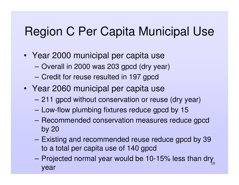#### Region C Per Capita Municipal Use

- Year 2000 municipal per capita use
	- **Harry Committee** – Overall in 2000 was 203 gpcd (dry year)
	- **Harry Committee** Credit for reuse resulted in 197 gpcd
- Year 2060 municipal per capita use
	- **However, Marketing Committee** 211 gpcd without conservation or reuse (dry year)
	- Low-flow plumbing fixtures reduce gpcd by 15
	- **However, Marketing Committee**  Recommended conservation measures reduce gpcd by 20
	- – Existing and recommended reuse reduce gpcd by 39 to <sup>a</sup> total per capita use of 140 gpcd
	- 18– Projected normal year would be 10-15% less than dry year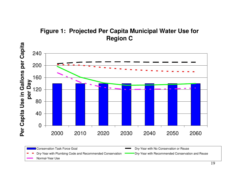



**Conservation Task Force Goal** Dry-Year with No Conservation or Reuse Dry-Year with Plumbing Code and Recommended Conservation **Comments** Dry-Year with Recommended Conservation and Reuse Normal-Year Use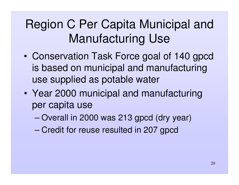# Region C Per Capita Municipal and Manufacturing Use

- • Conservation Task Force goal of 140 gpcd is based on municipal and manufacturing use supplied as potable water
- • Year 2000 municipal and manufacturing per capita use
	- –– Overall in 2000 was 213 gpcd (dry year)
	- –Credit for reuse resulted in 207 gpcd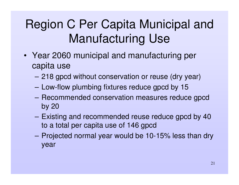# Region C Per Capita Municipal and Manufacturing Use

- Year 2060 municipal and manufacturing per capita use
	- **Hart Committee Committee** 218 gpcd without conservation or reuse (dry year)
	- Low-flow plumbing fixtures reduce gpcd by 15
	- **Hart Committee Committee**  Recommended conservation measures reduce gpcd by 20
	- – Existing and recommended reuse reduce gpcd by 40 to <sup>a</sup> total per capita use of 146 gpcd
	- **Harry Committee**  Projected normal year would be 10-15% less than dry year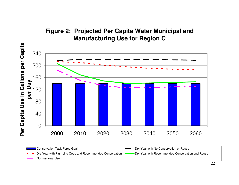#### **Figure 2: Projected Per Capita Water Municipal and Manufacturing Use for Region C**



**Conservation Task Force Goal** Dry-Year with No Conservation or Reuse Dry-Year with Plumbing Code and Recommended Conservation **Comments** Dry-Year with Recommended Conservation and Reuse Normal-Year Use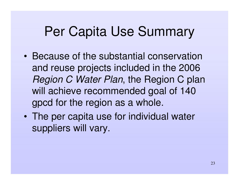# Per Capita Use Summary

- Because of the substantial conservation and reuse projects included in the 2006 *Region C Water Plan*, the Region C plan will achieve recommended goal of 140 gpcd for the region as <sup>a</sup> whole.
- • The per capita use for individual water suppliers will vary.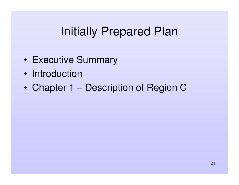#### Initially Prepared Plan

- •• Executive Summary
- Introduction
- •Chapter 1 – Description of Region C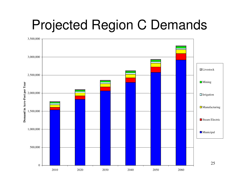# Projected Region C Demands

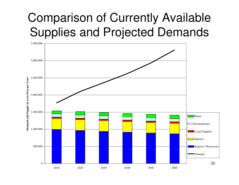# Comparison of Currently Available Supplies and Projected Demands

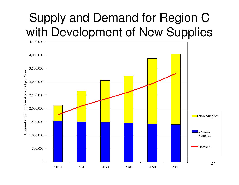# Supply and Demand for Region C with Development of New Supplies

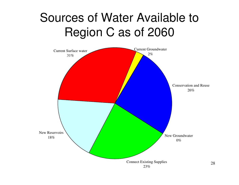# Sources of Water Available to Region C as of 2060

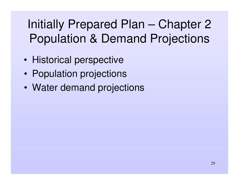# Initially Prepared Plan – Chapter 2 Population & Demand Projections

- •• Historical perspective
- •• Population projections
- •Water demand projections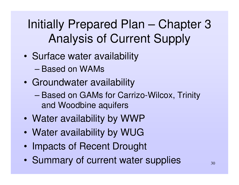# Initially Prepared Plan – Chapter 3 Analysis of Current Supply

- •• Surface water availability
	- Based on WAMs
- • Groundwater availability
	- – Based on GAMs for Carrizo-Wilcox, Trinity and Woodbine aquifers
- •Water availability by WWP
- $\bullet$ Water availability by WUG
- •• Impacts of Recent Drought
- •• Summary of current water supplies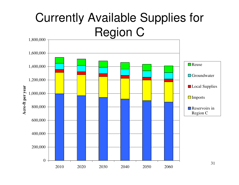# Currently Available Supplies for Region C

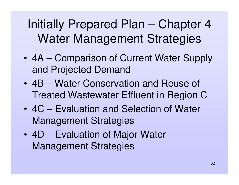# Initially Prepared Plan – Chapter 4 Water Management Strategies

- 4A Comparison of Current Water Supply and Projected Demand
- 4B Water Conservation and Reuse of Treated Wastewater Effluent in Region C
- 4C Evaluation and Selection of Water Management Strategies
- 4D Evaluation of Major Water Management Strategies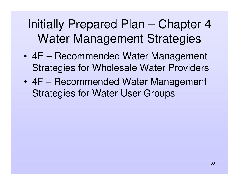# Initially Prepared Plan – Chapter 4 Water Management Strategies

- 4E Recommended Water Management Strategies for Wholesale Water Providers
- 4F Recommended Water Management Strategies for Water User Groups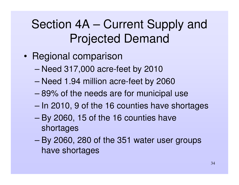# Section 4A – Current Supply and Projected Demand

- •• Regional comparison
	- –Need 317,000 acre-feet by 2010
	- –Need 1.94 million acre-feet by 2060
	- 89% of the needs are for municipal use
	- –– In 2010, 9 of the 16 counties have shortages
	- – By 2060, 15 of the 16 counties have shortages
	- – By 2060, 280 of the 351 water user groups have shortages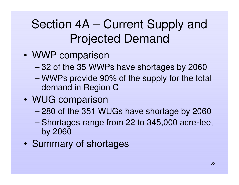# Section 4A – Current Supply and Projected Demand

- WWP comparison
	- –32 of the 35 WWPs have shortages by 2060
	- – WWPs provide 90% of the supply for the total demand in Region C
- WUG comparison
	- –280 of the 351 WUGs have shortage by 2060
	- – Shortages range from 22 to 345,000 acre-feet by 2060
- •• Summary of shortages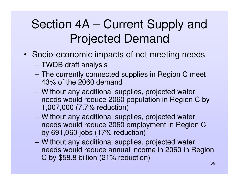# Section 4A – Current Supply and Projected Demand

- Socio-economic impacts of not meeting needs
	- TWDB draft analysis
	- **Harry Committee**  The currently connected supplies in Region C meet 43% of the 2060 demand
	- **Hart Committee Committee**  Without any additional supplies, projected water needs would reduce 2060 population in Region C by 1,007,000 (7.7% reduction)
	- **However, Marketing Committee**  Without any additional supplies, projected water needs would reduce 2060 employment in Region C by 691,060 jobs (17% reduction)
	- **Harry Committee**  Without any additional supplies, projected water needs would reduce annual income in 2060 in Region C by \$58.8 billion (21% reduction)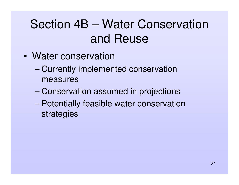- Water conservation
	- – Currently implemented conservation measures
	- –Conservation assumed in projections
	- – Potentially feasible water conservation strategies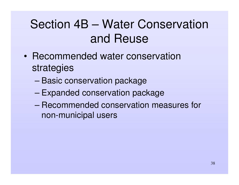- Recommended water conservation strategies
	- –– Basic conservation package
	- –– Expanded conservation package
	- Recommended conservation measures for non-municipal users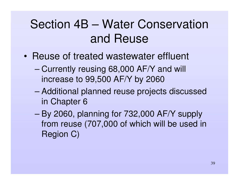- Reuse of treated wastewater effluent
	- – Currently reusing 68,000 AF/Y and will increase to 99,500 AF/Y by 2060
	- – Additional planned reuse projects discussed in Chapter 6
	- – By 2060, planning for 732,000 AF/Y supply from reuse (707,000 of which will be used in Region C)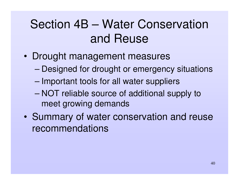- • Drought management measures
	- –Designed for drought or emergency situations
	- –– Important tools for all water suppliers
	- – NOT reliable source of additional supply to meet growing demands
- • Summary of water conservation and reuse recommendations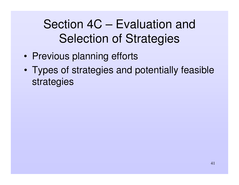# Section 4C – Evaluation and Selection of Strategies

- •• Previous planning efforts
- • Types of strategies and potentially feasible strategies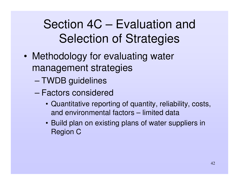# Section 4C – Evaluation and Selection of Strategies

- • Methodology for evaluating water management strategies
	- TWDB guidelines
	- Factors considered
		- Quantitative reporting of quantity, reliability, costs, and environmental factors – limited data
		- Build plan on existing plans of water suppliers in Region C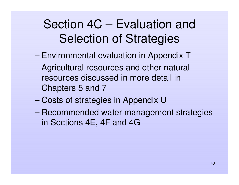### Section 4C – Evaluation and Selection of Strategies

- –– Environmental evaluation in Appendix T
- – Agricultural resources and other natural resources discussed in more detail in Chapters 5 and 7
- –Costs of strategies in Appendix U
- – Recommended water management strategies in Sections 4E, 4F and 4G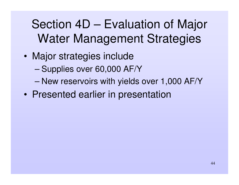# Section 4D – Evaluation of Major Water Management Strategies

- • Major strategies include
	- –– Supplies over 60,000 AF/Y
	- New reservoirs with yields over 1,000 AF/Y
- $\bullet$ Presented earlier in presentation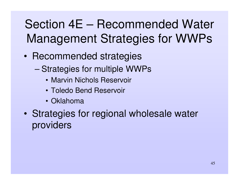- •• Recommended strategies
	- –– Strategies for multiple WWPs
		- Marvin Nichols Reservoir
		- Toledo Bend Reservoir
		- Oklahoma
- • Strategies for regional wholesale water providers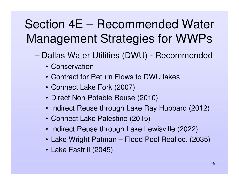- – Dallas Water Utilities (DWU) - Recommended
	- Conservation
	- Contract for Return Flows to DWU lakes
	- Connect Lake Fork (2007)
	- Direct Non-Potable Reuse (2010)
	- Indirect Reuse through Lake Ray Hubbard (2012)
	- Connect Lake Palestine (2015)
	- Indirect Reuse through Lake Lewisville (2022)
	- Lake Wright Patman Flood Pool Realloc. (2035)
	- Lake Fastrill (2045)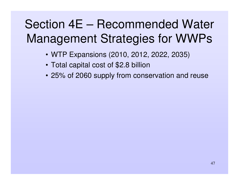- WTP Expansions (2010, 2012, 2022, 2035)
- Total capital cost of \$2.8 billion
- 25% of 2060 supply from conservation and reuse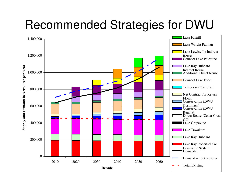# Recommended Strategies for DWU

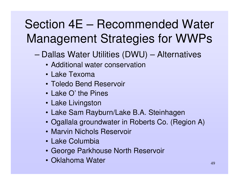- –– Dallas Water Utilities (DWU) – Alternatives
	- Additional water conservation
	- Lake Texoma
	- Toledo Bend Reservoir
	- Lake O' the Pines
	- Lake Livingston
	- Lake Sam Rayburn/Lake B.A. Steinhagen
	- Ogallala groundwater in Roberts Co. (Region A)
	- Marvin Nichols Reservoir
	- Lake Columbia
	- George Parkhouse North Reservoir
	- Oklahoma Water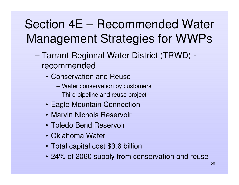- – Tarrant Regional Water District (TRWD) recommended
	- Conservation and Reuse
		- –Water conservation by customers
		- **Harry Committee** Third pipeline and reuse project
	- Eagle Mountain Connection
	- Marvin Nichols Reservoir
	- Toledo Bend Reservoir
	- Oklahoma Water
	- Total capital cost \$3.6 billion
	- 24% of 2060 supply from conservation and reuse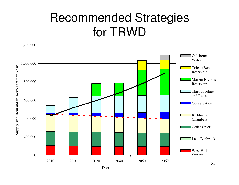#### Recommended Strategies for TRWD

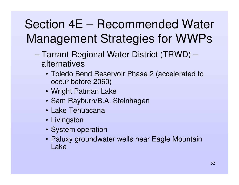- – Tarrant Regional Water District (TRWD) – alternatives
	- Toledo Bend Reservoir Phase 2 (accelerated to occur before 2060)
	- Wright Patman Lake
	- Sam Rayburn/B.A. Steinhagen
	- Lake Tehuacana
	- Livingston
	- System operation
	- Paluxy groundwater wells near Eagle Mountain Lake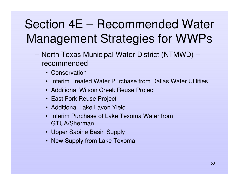- –– North Texas Municipal Water District (NTMWD) – recommended
	- Conservation
	- Interim Treated Water Purchase from Dallas Water Utilities
	- Additional Wilson Creek Reuse Project
	- East Fork Reuse Project
	- Additional Lake Lavon Yield
	- Interim Purchase of Lake Texoma Water from GTUA/Sherman
	- Upper Sabine Basin Supply
	- New Supply from Lake Texoma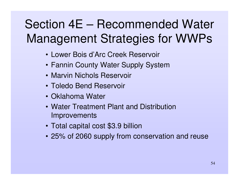- Lower Bois d'Arc Creek Reservoir
- Fannin County Water Supply System
- Marvin Nichols Reservoir
- Toledo Bend Reservoir
- Oklahoma Water
- Water Treatment Plant and Distribution **Improvements**
- Total capital cost \$3.9 billion
- 25% of 2060 supply from conservation and reuse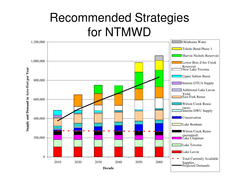#### Recommended Strategies for NTMWD

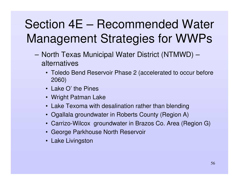- –– North Texas Municipal Water District (NTMWD) – alternatives
	- Toledo Bend Reservoir Phase 2 (accelerated to occur before 2060)
	- Lake O' the Pines
	- Wright Patman Lake
	- Lake Texoma with desalination rather than blending
	- Ogallala groundwater in Roberts County (Region A)
	- Carrizo-Wilcox groundwater in Brazos Co. Area (Region G)
	- George Parkhouse North Reservoir
	- Lake Livingston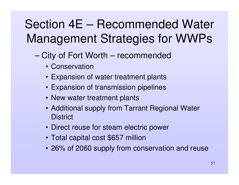- – City of Fort Worth – recommended
	- Conservation
	- Expansion of water treatment plants
	- Expansion of transmission pipelines
	- New water treatment plants
	- Additional supply from Tarrant Regional Water **District**
	- Direct reuse for steam electric power
	- Total capital cost \$657 million
	- 26% of 2060 supply from conservation and reuse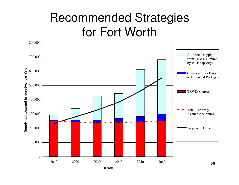#### Recommended Strategies for Fort Worth

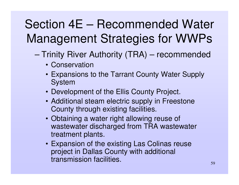- –– Trinity River Authority (TRA) – recommended
	- Conservation
	- Expansions to the Tarrant County Water Supply System
	- Development of the Ellis County Project.
	- Additional steam electric supply in Freestone County through existing facilities.
	- Obtaining <sup>a</sup> water right allowing reuse of wastewater discharged from TRA wastewater treatment plants.
	- Expansion of the existing Las Colinas reuse project in Dallas County with additional transmission facilities.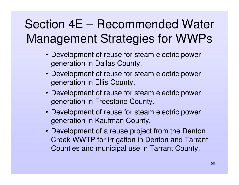- Development of reuse for steam electric power generation in Dallas County.
- Development of reuse for steam electric power generation in Ellis County.
- Development of reuse for steam electric power generation in Freestone County.
- Development of reuse for steam electric power generation in Kaufman County.
- Development of <sup>a</sup> reuse project from the Denton Creek WWTP for irrigation in Denton and Tarrant Counties and municipal use in Tarrant County.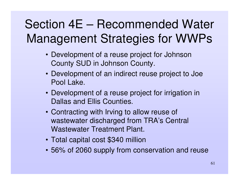- Development of <sup>a</sup> reuse project for Johnson County SUD in Johnson County.
- Development of an indirect reuse project to Joe Pool Lake.
- Development of <sup>a</sup> reuse project for irrigation in Dallas and Ellis Counties.
- Contracting with Irving to allow reuse of wastewater discharged from TRA's Central Wastewater Treatment Plant.
- Total capital cost \$340 million
- 56% of 2060 supply from conservation and reuse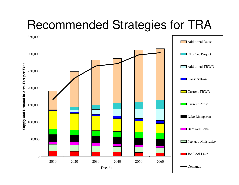# Recommended Strategies for TRA

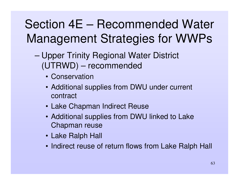- – Upper Trinity Regional Water District (UTRWD) – recommended
	- Conservation
	- Additional supplies from DWU under current contract
	- Lake Chapman Indirect Reuse
	- Additional supplies from DWU linked to Lake Chapman reuse
	- Lake Ralph Hall
	- Indirect reuse of return flows from Lake Ralph Hall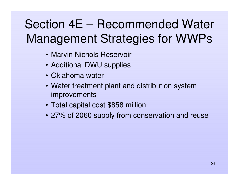- Marvin Nichols Reservoir
- Additional DWU supplies
- Oklahoma water
- Water treatment plant and distribution system **improvements**
- Total capital cost \$858 million
- 27% of 2060 supply from conservation and reuse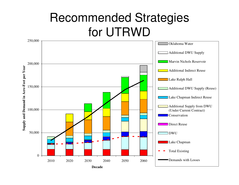#### Recommended Strategies for UTRWD

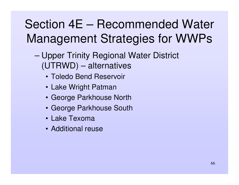- – Upper Trinity Regional Water District (UTRWD) – alternatives
	- Toledo Bend Reservoir
	- Lake Wright Patman
	- George Parkhouse North
	- George Parkhouse South
	- Lake Texoma
	- Additional reuse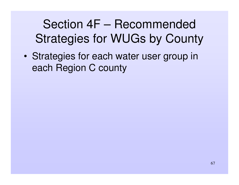# Section 4F – Recommended Strategies for WUGs by County

• Strategies for each water user group in each Region C county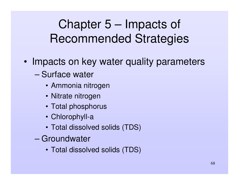### Chapter 5 – Impacts of Recommended Strategies

- •• Impacts on key water quality parameters
	- Surface water
		- Ammonia nitrogen
		- Nitrate nitrogen
		- Total phosphorus
		- Chlorophyll-a
		- Total dissolved solids (TDS)
	- Groundwater
		- Total dissolved solids (TDS)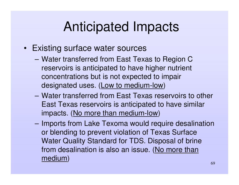# Anticipated Impacts

- Existing surface water sources
	- Water transferred from East Texas to Region C reservoirs is anticipated to have higher nutrient concentrations but is not expected to impair designated uses. (Low to medium-low)
	- Water transferred from East Texas reservoirs to other East Texas reservoirs is anticipated to have similar impacts. (No more than medium-low)
	- **However, Marketing Committee** – Imports from Lake Texoma would require desalination or blending to prevent violation of Texas Surface Water Quality Standard for TDS. Disposal of brine from desalination is also an issue. (<u>No more than</u> medium)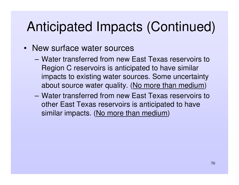# Anticipated Impacts (Continued)

- New surface water sources
	- Water transferred from new East Texas reservoirs to Region C reservoirs is anticipated to have similar impacts to existing water sources. Some uncertainty about source water quality. (<u>No more than medium</u>)
	- Water transferred from new East Texas reservoirs to other East Texas reservoirs is anticipated to have similar impacts. (No more than medium)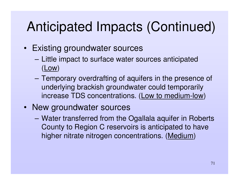# Anticipated Impacts (Continued)

- Existing groundwater sources
	- **Hart Committee** - Little impact to surface water sources anticipated (Low)
	- **However, Marketing Committee**  Temporary overdrafting of aquifers in the presence of underlying brackish groundwater could temporarily increase TDS concentrations. (<u>Low to medium-low</u>)
- New groundwater sources
	- Water transferred from the Ogallala aquifer in Roberts County to Region C reservoirs is anticipated to have higher nitrate nitrogen concentrations. (Medium)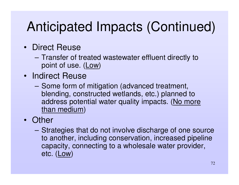# Anticipated Impacts (Continued)

- Direct Reuse
	- **Hart Committee Committee**  Transfer of treated wastewater effluent directly to point of use. (Low)
- Indirect Reuse
	- Some form of mitigation (advanced treatment, blending, constructed wetlands, etc.) planned to address potential water quality impacts. (No more <u>than medium)</u>
- Other
	- **However, Marketing Committee**  Strategies that do not involve discharge of one source to another, including conservation, increased pipeline capacity, connecting to <sup>a</sup> wholesale water provider, etc. (Low)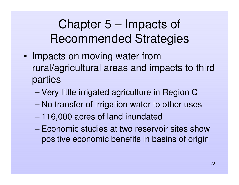Chapter 5 – Impacts of Recommended Strategies

- •• Impacts on moving water from rural/agricultural areas and impacts to third parties
	- –Very little irrigated agriculture in Region C
	- –No transfer of irrigation water to other uses
	- –116,000 acres of land inundated
	- Economic studies at two reservoir sites showpositive economic benefits in basins of origin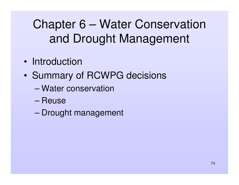#### Chapter 6 – Water Conservation and Drought Management

- Introduction
- •• Summary of RCWPG decisions
	- Water conservation
	- Reuse
	- –Drought management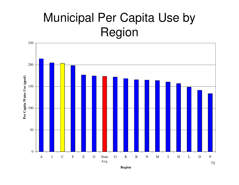#### Municipal Per Capita Use by Region

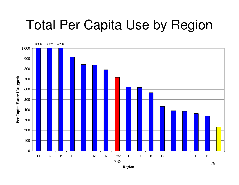# Total Per Capita Use by Region

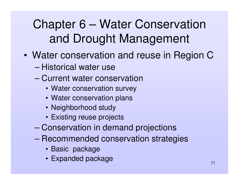#### Chapter 6 – Water Conservation and Drought Management

- • Water conservation and reuse in Region C
	- Historical water use
	- Current water conservation
		- Water conservation survey
		- Water conservation plans
		- Neighborhood study
		- Existing reuse projects
	- –Conservation in demand projections
	- – Recommended conservation strategies
		- Basic package
		- Expanded package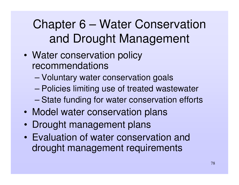Chapter 6 – Water Conservation and Drought Management

- • Water conservation policy recommendations
	- –Voluntary water conservation goals
	- –Policies limiting use of treated wastewater
	- –State funding for water conservation efforts
- $\bullet$ Model water conservation plans
- •Drought management plans
- Evaluation of water conservation and drought management requirements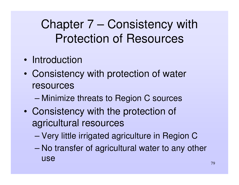#### Chapter 7 – Consistency with Protection of Resources

- Introduction
- • Consistency with protection of water resources
	- –Minimize threats to Region C sources
- • Consistency with the protection of agricultural resources
	- –Very little irrigated agriculture in Region C
	- – No transfer of agricultural water to any other use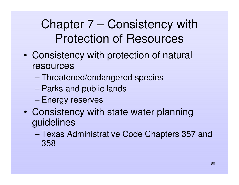#### Chapter 7 – Consistency with Protection of Resources

- • Consistency with protection of natural resources
	- –Threatened/endangered species
	- –Parks and public lands
	- –Energy reserves
- $\bullet$  Consistency with state water planning guidelines
	- – Texas Administrative Code Chapters 357 and 358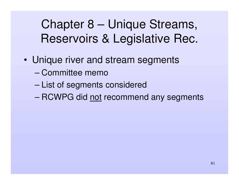- • Unique river and stream segments
	- Committee memo
	- –List of segments considered
	- RCWPG did <u>not</u> recommend any segments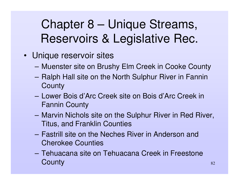- Unique reservoir sites
	- **Harry Committee** Muenster site on Brushy Elm Creek in Cooke County
	- **Harry Committee** – Ralph Hall site on the North Sulphur River in Fannin **County**
	- Lower Bois d'Arc Creek site on Bois d'Arc Creek in Fannin County
	- **However, Marketing Committee**  Marvin Nichols site on the Sulphur River in Red River, Titus, and Franklin Counties
	- Fastrill site on the Neches River in Anderson and Cherokee Counties
	- Tehuacana site on Tehuacana Creek in Freestone **County**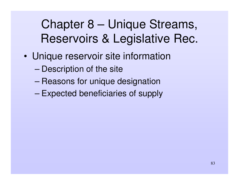- • Unique reservoir site information
	- –– Description of the site
	- –– Reasons for unique designation
	- –Expected beneficiaries of supply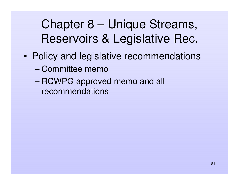- • Policy and legislative recommendations
	- Committee memo
	- RCWPG approved memo and all recommendations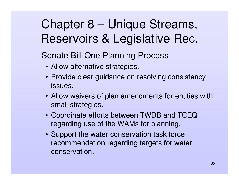- –– Senate Bill One Planning Process
	- Allow alternative strategies.
	- Provide clear guidance on resolving consistency issues.
	- Allow waivers of plan amendments for entities with small strategies.
	- Coordinate efforts between TWDB and TCEQ regarding use of the WAMs for planning.
	- Support the water conservation task force recommendation regarding targets for water conservation.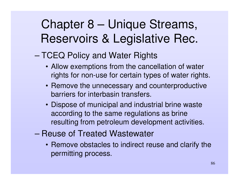#### –– TCEQ Policy and Water Rights

- Allow exemptions from the cancellation of water rights for non-use for certain types of water rights.
- Remove the unnecessary and counterproductive barriers for interbasin transfers.
- Dispose of municipal and industrial brine waste according to the same regulations as brine resulting from petroleum development activities.
- Reuse of Treated Wastewater
	- Remove obstacles to indirect reuse and clarify the permitting process.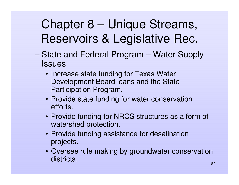- –– State and Federal Program – Water Supply **Issues** 
	- Increase state funding for Texas Water Development Board loans and the State Participation Program.
	- Provide state funding for water conservation efforts.
	- Provide funding for NRCS structures as <sup>a</sup> form of watershed protection.
	- Provide funding assistance for desalination projects.
	- Oversee rule making by groundwater conservation districts.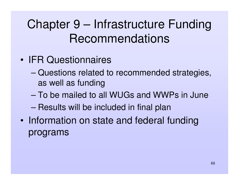#### Chapter 9 – Infrastructure Funding Recommendations

- IFR Questionnaires
	- – Questions related to recommended strategies, as well as funding
	- To be mailed to all WUGs and WWPs in June
	- –Results will be included in final plan
- •• Information on state and federal funding programs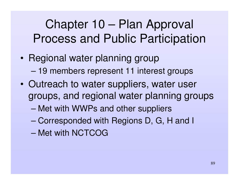#### Chapter 10 – Plan Approval Process and Public Participation

- •• Regional water planning group –19 members represent 11 interest groups
- •• Outreach to water suppliers, water user groups, and regional water planning groups
	- –Met with WWPs and other suppliers
	- –Corresponded with Regions D, G, H and I
	- Met with NCTCOG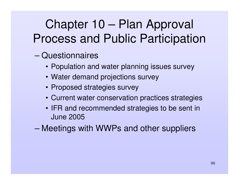#### Chapter 10 – Plan Approval Process and Public Participation

- – Questionnaires
	- Population and water planning issues survey
	- Water demand projections survey
	- Proposed strategies survey
	- Current water conservation practices strategies
	- IFR and recommended strategies to be sent in June 2005
- –Meetings with WWPs and other suppliers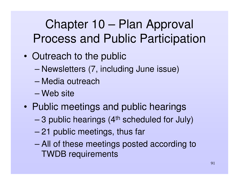#### Chapter 10 – Plan Approval Process and Public Participation

- •• Outreach to the public
	- –Newsletters (7, including June issue)
	- Media outreach
	- Web site
- $\bullet$ • Public meetings and public hearings
	- – $-$  3 public hearings (4<sup>th</sup> scheduled for July)
	- –21 public meetings, thus far
	- – All of these meetings posted according to TWDB requirements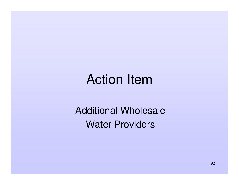#### Action Item

Additional Wholesale Water Providers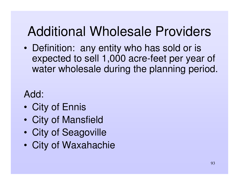## Additional Wholesale Providers

• Definition: any entity who has sold or is expected to sell 1,000 acre-feet per year of water wholesale during the planning period.

#### Add:

- $\bullet$ City of Ennis
- $\bullet$ City of Mansfield
- •City of Seagoville
- $\bullet$ City of Waxahachie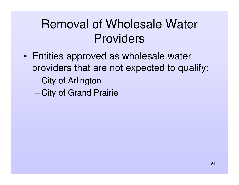#### Removal of Wholesale Water Providers

- • Entities approved as wholesale water providers that are not expected to qualify:
	- –– City of Arlington
	- –– City of Grand Prairie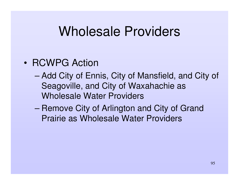#### Wholesale Providers

#### • RCWPG Action

- – Add City of Ennis, City of Mansfield, and City of Seagoville, and City of Waxahachie as Wholesale Water Providers
- –– Remove City of Arlington and City of Grand Prairie as Wholesale Water Providers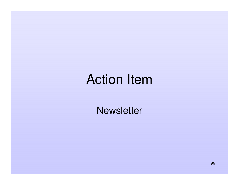#### Action Item

**Newsletter**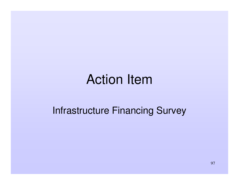#### Action Item

#### Infrastructure Financing Survey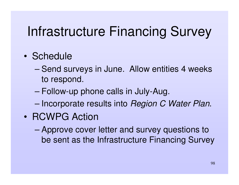## Infrastructure Financing Survey

#### • Schedule

- –– Send surveys in June. Allow entities 4 weeks to respond.
- –Follow-up phone calls in July-Aug.
- –Incorporate results into *Region C Water Plan*.
- RCWPG Action
	- – Approve cover letter and survey questions to be sent as the Infrastructure Financing Survey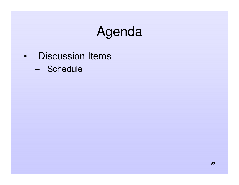#### Agenda

- Discussion Items
	- Schedule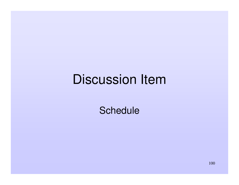#### Discussion Item

**Schedule**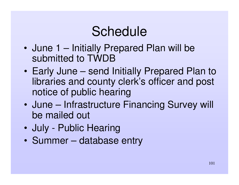# Schedule

- • June 1 – Initially Prepared Plan will be submitted to TWDB
- $\bullet$  Early June – send Initially Prepared Plan to libraries and county clerk's officer and post notice of public hearing
- • June – Infrastructure Financing Survey will be mailed out
- $\bullet$ July - Public Hearing
- $\bullet$ • Summer – database entry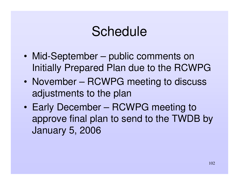#### Schedule

- • Mid-September – public comments on Initially Prepared Plan due to the RCWPG
- November RCWPG meeting to discuss adjustments to the plan
- $\bullet$  Early December – RCWPG meeting to approve final plan to send to the TWDB by January 5, 2006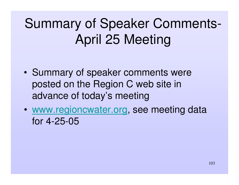# Summary of Speaker Comments-April 25 Meeting

- •• Summary of speaker comments were posted on the Region C web site in advance of today's meeting
- • www.regioncwater.org, see meeting data for 4-25-05